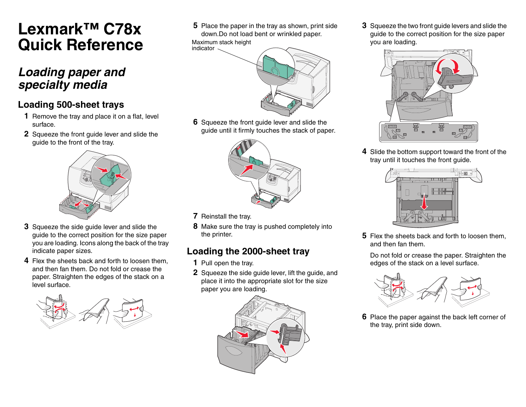# **Lexmark™ C78xQuick Reference**

# *Loading paper and specialty media*

#### **Loading 500-sheet trays**

- **1** Remove the tray and place it on a flat, level surface.
- **2** Squeeze the front guide lever and slide the guide to the front of the tray.



- **3** Squeeze the side guide lever and slide the guide to the correct position for the size paper you are loading. Icons along the back of the tray indicate paper sizes.
- **4** Flex the sheets back and forth to loosen them, and then fan them. Do not fold or crease the paper. Straighten the edges of the stack on a level surface.



**5** Place the paper in the tray as shown, print side down.Do not load bent or wrinkled paper.

Maximum stack height indicator



**6** Squeeze the front guide lever and slide the guide until it firmly touches the stack of paper.



- **7** Reinstall the tray.
- **8** Make sure the tray is pushed completely into the printer.

#### **Loading the 2000-sheet tray**

- **1** Pull open the tray.
- **2** Squeeze the side guide lever, lift the guide, and place it into the appropriate slot for the size paper you are loading.



**3** Squeeze the two front guide levers and slide the guide to the correct position for the size paper you are loading.



**4** Slide the bottom support toward the front of the tray until it touches the front guide.



**5** Flex the sheets back and forth to loosen them, and then fan them.

Do not fold or crease the paper. Straighten the edges of the stack on a level surface.



**6** Place the paper against the back left corner of the tray, print side down.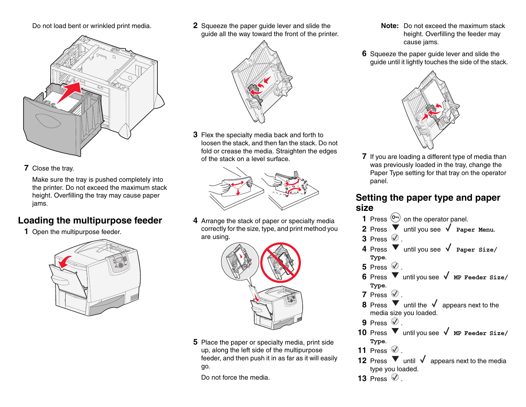Do not load bent or wrinkled print media.



**7** Close the tray.

Make sure the tray is pushed completely into the printer. Do not exceed the maximum stack height. Overfilling the tray may cause paper jams.

#### **Loading the multipurpose feeder**

**1** Open the multipurpose feeder.



**2** Squeeze the paper guide lever and slide the guide all the way toward the front of the printer.



**3** Flex the specialty media back and forth to loosen the stack, and then fan the stack. Do not fold or crease the media. Straighten the edges of the stack on a level surface.



**4** Arrange the stack of paper or specialty media correctly for the size, type, and print method you are using.



**5** Place the paper or specialty media, print side up, along the left side of the multipurpose feeder, and then push it in as far as it will easily go.

Do not force the media.

- **Note:** Do not exceed the maximum stack height. Overfilling the feeder may cause jams.
- **6** Squeeze the paper guide lever and slide the guide until it lightly touches the side of the stack.



**7** If you are loading a different type of media than was previously loaded in the tray, change the Paper Type setting for that tray on the operator panel.

#### **Setting the paper type and paper size**

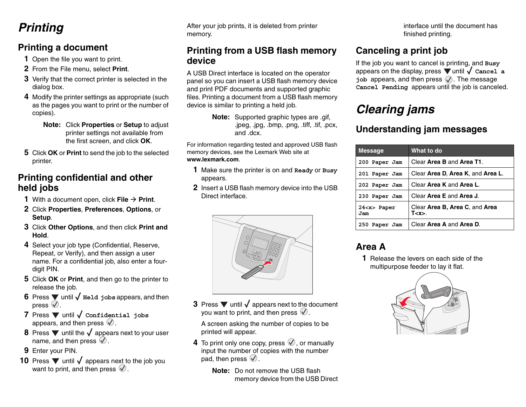# *Printing*

#### **Printing a document**

- **1** Open the file you want to print.
- **2** From the File menu, select **Print**.
- **3** Verify that the correct printer is selected in the dialog box.
- **4** Modify the printer settings as appropriate (such as the pages you want to print or the number of copies).
	- **Note:** Click **Properties** or **Setup** to adjust printer settings not available from the first screen, and click **OK**.
- **5** Click **OK** or **Print** to send the job to the selected printer.

#### **Printing confidential and other held jobs**

- **1** With a document open, click File  $\rightarrow$  Print.
- **2** Click **Properties**, **Preferences**, **Options**, or **Setup**.
- **3** Click **Other Options**, and then click **Print and Hold**.
- **4** Select your job type (Confidential, Reserve, Repeat, or Verify), and then assign a user name. For a confidential job, also enter a fourdigit PIN.
- **5** Click **OK** or **Print**, and then go to the printer to release the job.
- **6** Press  $\blacktriangledown$  until  $\blacklozenge$  **Held jobs** appears, and then press  $\oslash$ .
- **7** Press ▼ until √ Confidential jobs appears, and then press  $\mathcal{D}$ .
- **8** Press  $\blacktriangledown$  until the  $\sqrt{ }$  appears next to your user name, and then press  $\mathcal{D}$ .
- **9** Enter your PIN.
- **10** Press  $\blacktriangledown$  until  $\blacklozenge$  appears next to the job you want to print, and then press  $\mathcal{D}$ .

After your job prints, it is deleted from printer memory.

#### **Printing from a USB flash memory device**

A USB Direct interface is located on the operator panel so you can insert a USB flash memory device and print PDF documents and supported graphic files. Printing a document from a USB flash memory device is similar to printing a held job.

> **Note:** Supported graphic types are .gif, .jpeg, .jpg, .bmp, .png, .tiff, .tif, .pcx, and .dcx.

For information regarding tested and approved USB flash memory devices, see the Lexmark Web site at **www.lexmark.com**.

- **1** Make sure the printer is on and **Ready** or **Busy** appears.
- **2** Insert a USB flash memory device into the USB Direct interface.



**3** Press  $\blacktriangledown$  until  $\blacklozenge$  appears next to the document you want to print, and then press  $\mathcal Q$ .

A screen asking the number of copies to be printed will appear.

- **4** To print only one copy, press  $\heartsuit$ , or manually input the number of copies with the number pad, then press  $\mathcal{Q}$ .
	- **Note:** Do not remove the USB flash memory device from the USB Direct

interface until the document has finished printing.

### **Canceling a print job**

If the job you want to cancel is printing, and **Busy** appears on the display, press  $\nabla$  until  $\nabla$  cancel a job appears, and then press  $\mathcal{Q}$ . The message **Cancel Pending** appears until the job is canceled.

# *Clearing jams*

#### **Understanding jam messages**

| <b>Message</b>           | What to do                                   |
|--------------------------|----------------------------------------------|
| 200 Paper Jam            | Clear Area B and Area T1.                    |
| 201 Paper Jam            | Clear Area D. Area K, and Area L.            |
| 202 Paper Jam            | Clear Area K and Area L.                     |
| 230 Paper Jam            | Clear Area E and Area J.                     |
| 24 <x> Paper<br/>Jam</x> | Clear Area B, Area C, and Area<br>T <x>.</x> |
| 250<br>Paper Jam         | Clear Area A and Area D.                     |

#### **Area A**

**1** Release the levers on each side of the multipurpose feeder to lay it flat.